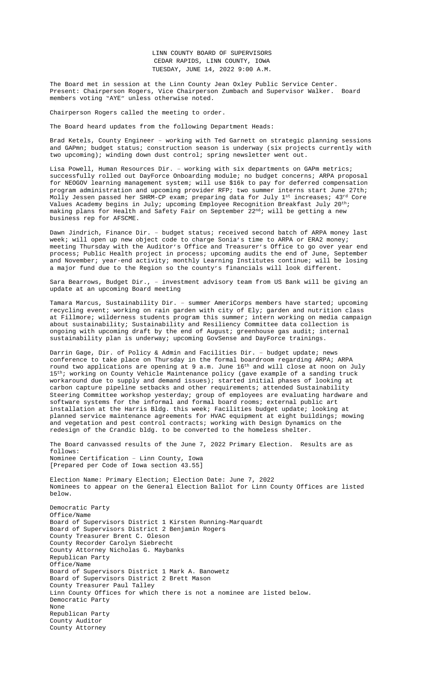LINN COUNTY BOARD OF SUPERVISORS CEDAR RAPIDS, LINN COUNTY, IOWA TUESDAY, JUNE 14, 2022 9:00 A.M.

The Board met in session at the Linn County Jean Oxley Public Service Center. Present: Chairperson Rogers, Vice Chairperson Zumbach and Supervisor Walker. Board members voting "AYE" unless otherwise noted.

Chairperson Rogers called the meeting to order.

The Board heard updates from the following Department Heads:

Brad Ketels, County Engineer – working with Ted Garnett on strategic planning sessions and GAPmn; budget status; construction season is underway (six projects currently with two upcoming); winding down dust control; spring newsletter went out.

Lisa Powell, Human Resources Dir. – working with six departments on GAPm metrics; successfully rolled out DayForce Onboarding module; no budget concerns; ARPA proposal for NEOGOV learning management system; will use \$16k to pay for deferred compensation program administration and upcoming provider RFP; two summer interns start June 27th; Molly Jessen passed her SHRM-CP exam; preparing data for July 1st increases; 43rd Core Values Academy begins in July; upcoming Employee Recognition Breakfast July  $20^{\text{th}}$ ; making plans for Health and Safety Fair on September 22nd; will be getting a new business rep for AFSCME.

Dawn Jindrich, Finance Dir. – budget status; received second batch of ARPA money last week; will open up new object code to charge Sonia's time to ARPA or ERA2 money; meeting Thursday with the Auditor's Office and Treasurer's Office to go over year end process; Public Health project in process; upcoming audits the end of June, September and November; year-end activity; monthly Learning Institutes continue; will be losing a major fund due to the Region so the county's financials will look different.

Sara Bearrows, Budget Dir., – investment advisory team from US Bank will be giving an update at an upcoming Board meeting

Tamara Marcus, Sustainability Dir. – summer AmeriCorps members have started; upcoming recycling event; working on rain garden with city of Ely; garden and nutrition class at Fillmore; wilderness students program this summer; intern working on media campaign about sustainability; Sustainability and Resiliency Committee data collection is ongoing with upcoming draft by the end of August; greenhouse gas audit; internal sustainability plan is underway; upcoming GovSense and DayForce trainings.

Darrin Gage, Dir. of Policy & Admin and Facilities Dir. - budget update; news conference to take place on Thursday in the formal boardroom regarding ARPA; ARPA round two applications are opening at 9 a.m. June 16th and will close at noon on July 15<sup>th</sup>; working on County Vehicle Maintenance policy (gave example of a sanding truck workaround due to supply and demand issues); started initial phases of looking at carbon capture pipeline setbacks and other requirements; attended Sustainability Steering Committee workshop yesterday; group of employees are evaluating hardware and software systems for the informal and formal board rooms; external public art installation at the Harris Bldg. this week; Facilities budget update; looking at planned service maintenance agreements for HVAC equipment at eight buildings; mowing and vegetation and pest control contracts; working with Design Dynamics on the redesign of the Crandic bldg. to be converted to the homeless shelter.

The Board canvassed results of the June 7, 2022 Primary Election. Results are as follows: Nominee Certification – Linn County, Iowa [Prepared per Code of Iowa section 43.55]

Election Name: Primary Election; Election Date: June 7, 2022 Nominees to appear on the General Election Ballot for Linn County Offices are listed below.

Democratic Party Office/Name Board of Supervisors District 1 Kirsten Running-Marquardt Board of Supervisors District 2 Benjamin Rogers County Treasurer Brent C. Oleson County Recorder Carolyn Siebrecht County Attorney Nicholas G. Maybanks Republican Party Office/Name Board of Supervisors District 1 Mark A. Banowetz Board of Supervisors District 2 Brett Mason County Treasurer Paul Talley Linn County Offices for which there is not a nominee are listed below. Democratic Party None Republican Party County Auditor County Attorney